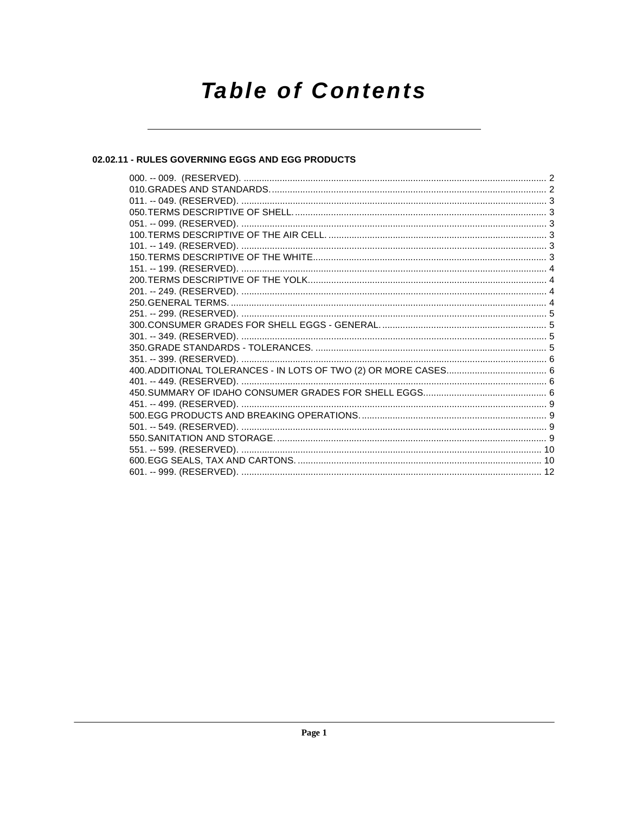# **Table of Contents**

#### 02.02.11 - RULES GOVERNING EGGS AND EGG PRODUCTS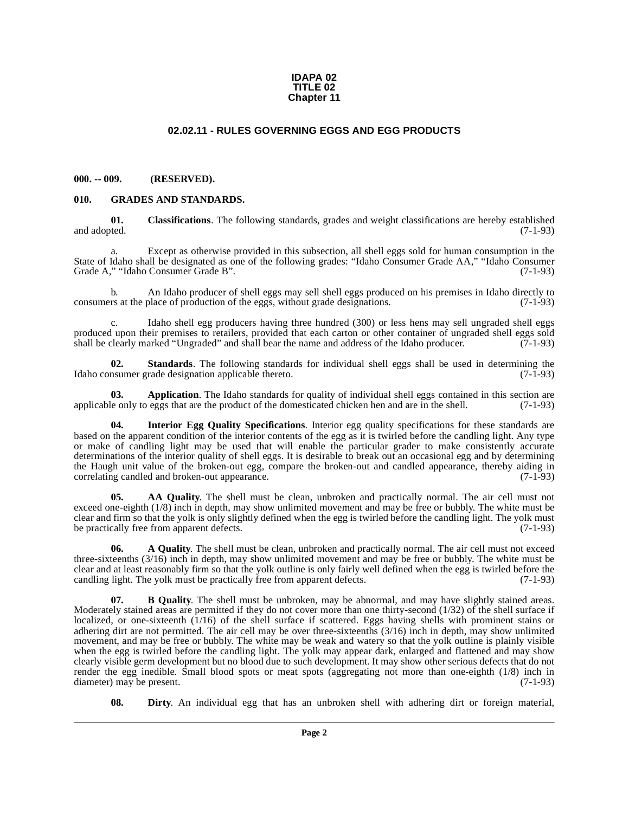#### **IDAPA 02 TITLE 02 Chapter 11**

#### **02.02.11 - RULES GOVERNING EGGS AND EGG PRODUCTS**

#### <span id="page-1-1"></span><span id="page-1-0"></span>**000. -- 009. (RESERVED).**

#### <span id="page-1-9"></span><span id="page-1-2"></span>**010. GRADES AND STANDARDS.**

<span id="page-1-7"></span>**01.** Classifications. The following standards, grades and weight classifications are hereby established and adopted. (7-1-93) and adopted. (7-1-93)

a. Except as otherwise provided in this subsection, all shell eggs sold for human consumption in the State of Idaho shall be designated as one of the following grades: "Idaho Consumer Grade AA," "Idaho Consumer Grade A," "Idaho Consumer Grade B".

b. An Idaho producer of shell eggs may sell shell eggs produced on his premises in Idaho directly to consumers at the place of production of the eggs, without grade designations. (7-1-93)

c. Idaho shell egg producers having three hundred (300) or less hens may sell ungraded shell eggs produced upon their premises to retailers, provided that each carton or other container of ungraded shell eggs sold<br>shall be clearly marked "Ungraded" and shall bear the name and address of the Idaho producer. (7-1-93) shall be clearly marked "Ungraded" and shall bear the name and address of the Idaho producer.

<span id="page-1-11"></span>**02. Standards**. The following standards for individual shell eggs shall be used in determining the Idaho consumer grade designation applicable thereto. (7-1-93)

<span id="page-1-5"></span>**03. Application**. The Idaho standards for quality of individual shell eggs contained in this section are lease only to eggs that are the product of the domesticated chicken hen and are in the shell. (7-1-93) applicable only to eggs that are the product of the domesticated chicken hen and are in the shell.

<span id="page-1-10"></span>**04. Interior Egg Quality Specifications**. Interior egg quality specifications for these standards are based on the apparent condition of the interior contents of the egg as it is twirled before the candling light. Any type or make of candling light may be used that will enable the particular grader to make consistently accurate determinations of the interior quality of shell eggs. It is desirable to break out an occasional egg and by determining the Haugh unit value of the broken-out egg, compare the broken-out and candled appearance, thereby aiding in correlating candled and broken-out appearance. (7-1-93)

<span id="page-1-4"></span>**05. AA Quality**. The shell must be clean, unbroken and practically normal. The air cell must not exceed one-eighth (1/8) inch in depth, may show unlimited movement and may be free or bubbly. The white must be clear and firm so that the yolk is only slightly defined when the egg is twirled before the candling light. The yolk must be practically free from apparent defects. (7-1-93)

<span id="page-1-3"></span>**06. A Quality**. The shell must be clean, unbroken and practically normal. The air cell must not exceed three-sixteenths (3/16) inch in depth, may show unlimited movement and may be free or bubbly. The white must be clear and at least reasonably firm so that the yolk outline is only fairly well defined when the egg is twirled before the candling light. The yolk must be practically free from apparent defects. (7-1-93)

<span id="page-1-6"></span>**07. B Quality**. The shell must be unbroken, may be abnormal, and may have slightly stained areas. Moderately stained areas are permitted if they do not cover more than one thirty-second (1/32) of the shell surface if localized, or one-sixteenth (1/16) of the shell surface if scattered. Eggs having shells with prominent stains or adhering dirt are not permitted. The air cell may be over three-sixteenths (3/16) inch in depth, may show unlimited movement, and may be free or bubbly. The white may be weak and watery so that the yolk outline is plainly visible when the egg is twirled before the candling light. The yolk may appear dark, enlarged and flattened and may show clearly visible germ development but no blood due to such development. It may show other serious defects that do not render the egg inedible. Small blood spots or meat spots (aggregating not more than one-eighth (1/8) inch in diameter) may be present. (7-1-93)

<span id="page-1-8"></span>**08. Dirty**. An individual egg that has an unbroken shell with adhering dirt or foreign material,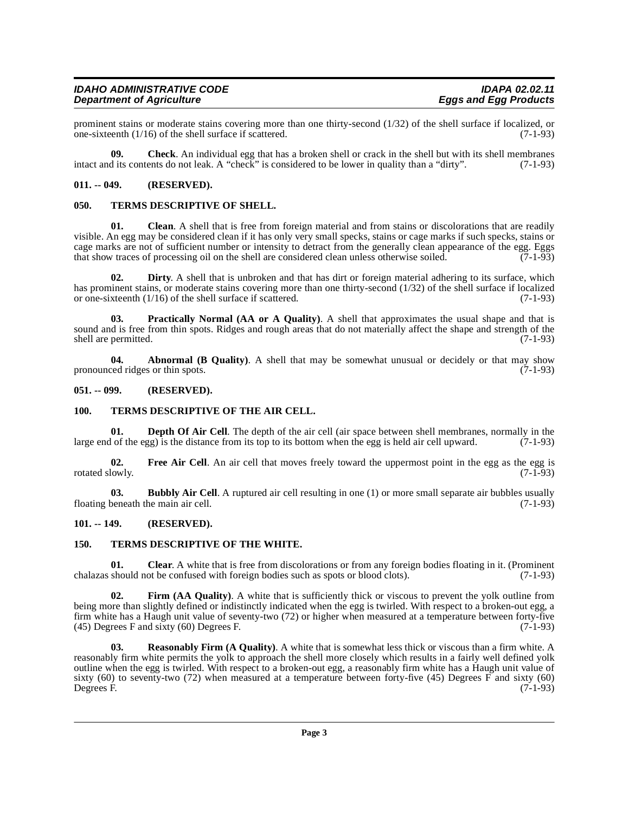prominent stains or moderate stains covering more than one thirty-second (1/32) of the shell surface if localized, or<br>one-sixteenth (1/16) of the shell surface if scattered. (7-1-93) one-sixteenth  $(1/16)$  of the shell surface if scattered.

<span id="page-2-8"></span>**09. Check**. An individual egg that has a broken shell or crack in the shell but with its shell membranes intact and its contents do not leak. A "check" is considered to be lower in quality than a "dirty". (7-1-93)

#### <span id="page-2-0"></span>**011. -- 049. (RESERVED).**

#### <span id="page-2-17"></span><span id="page-2-1"></span>**050. TERMS DESCRIPTIVE OF SHELL.**

<span id="page-2-9"></span>**01.** Clean. A shell that is free from foreign material and from stains or discolorations that are readily visible. An egg may be considered clean if it has only very small specks, stains or cage marks if such specks, stains or cage marks are not of sufficient number or intensity to detract from the generally clean appearance of the egg. Eggs that show traces of processing oil on the shell are considered clean unless otherwise soiled. (7-1-93)

<span id="page-2-12"></span>**02. Dirty**. A shell that is unbroken and that has dirt or foreign material adhering to its surface, which has prominent stains, or moderate stains covering more than one thirty-second (1/32) of the shell surface if localized<br>or one-sixteenth (1/16) of the shell surface if scattered. (7-1-93) or one-sixteenth  $(1/16)$  of the shell surface if scattered.

<span id="page-2-15"></span>**03. Practically Normal (AA or A Quality)**. A shell that approximates the usual shape and that is sound and is free from thin spots. Ridges and rough areas that do not materially affect the shape and strength of the shall are permitted. (7-1-93) shell are permitted.

<span id="page-2-6"></span>**04. Abnormal (B Quality)**. A shell that may be somewhat unusual or decidely or that may show pronounced ridges or thin spots. (7-1-93)

#### <span id="page-2-2"></span>**051. -- 099. (RESERVED).**

#### <span id="page-2-18"></span><span id="page-2-3"></span>**100. TERMS DESCRIPTIVE OF THE AIR CELL.**

<span id="page-2-11"></span>**01. Depth Of Air Cell**. The depth of the air cell (air space between shell membranes, normally in the large end of the egg) is the distance from its top to its bottom when the egg is held air cell upward. (7-1-93)

<span id="page-2-14"></span>**02.** Free Air Cell. An air cell that moves freely toward the uppermost point in the egg as the egg is lowly. (7-1-93) rotated slowly.

<span id="page-2-7"></span>**03. Bubbly Air Cell**. A ruptured air cell resulting in one (1) or more small separate air bubbles usually floating beneath the main air cell. (7-1-93)

#### <span id="page-2-4"></span>**101. -- 149. (RESERVED).**

#### <span id="page-2-19"></span><span id="page-2-5"></span>**150. TERMS DESCRIPTIVE OF THE WHITE.**

<span id="page-2-10"></span>**01.** Clear. A white that is free from discolorations or from any foreign bodies floating in it. (Prominent should not be confused with foreign bodies such as spots or blood clots). (7-1-93) chalazas should not be confused with foreign bodies such as spots or blood clots).

<span id="page-2-13"></span>**02. Firm (AA Quality)**. A white that is sufficiently thick or viscous to prevent the yolk outline from being more than slightly defined or indistinctly indicated when the egg is twirled. With respect to a broken-out egg, a firm white has a Haugh unit value of seventy-two (72) or higher when measured at a temperature between forty-five (45) Degrees F and sixty (60) Degrees F. (45) Degrees F and sixty  $(60)$  Degrees F.

<span id="page-2-16"></span>**Reasonably Firm (A Quality).** A white that is somewhat less thick or viscous than a firm white. A reasonably firm white permits the yolk to approach the shell more closely which results in a fairly well defined yolk outline when the egg is twirled. With respect to a broken-out egg, a reasonably firm white has a Haugh unit value of sixty (60) to seventy-two (72) when measured at a temperature between forty-five (45) Degrees F and sixty (60) Degrees F.  $(7-1-93)$ Degrees F. (7-1-93)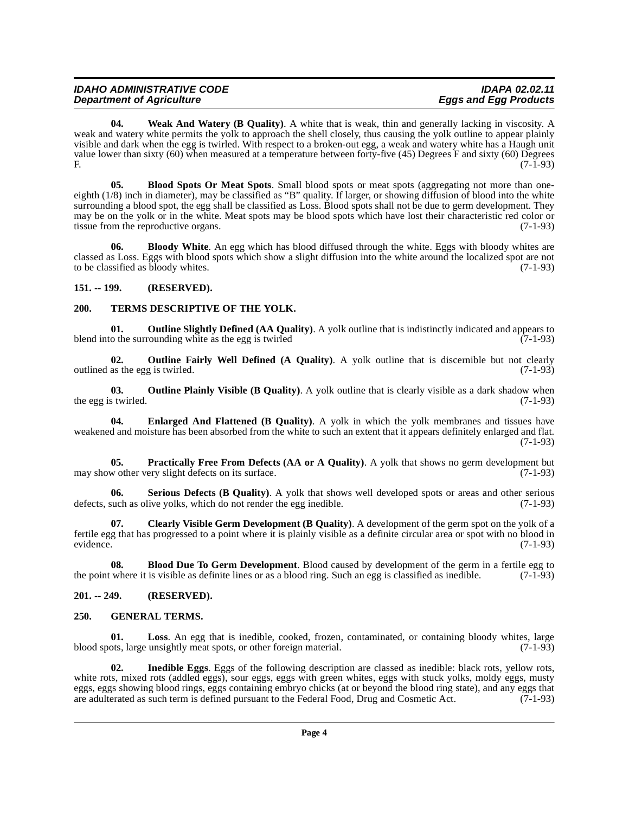<span id="page-3-18"></span>**04.** Weak And Watery (B Quality). A white that is weak, thin and generally lacking in viscosity. A weak and watery white permits the yolk to approach the shell closely, thus causing the yolk outline to appear plainly visible and dark when the egg is twirled. With respect to a broken-out egg, a weak and watery white has a Haugh unit value lower than sixty (60) when measured at a temperature between forty-five (45) Degrees F and sixty (60) Degrees F.  $(7-1-93)$ 

<span id="page-3-5"></span>**05. Blood Spots Or Meat Spots**. Small blood spots or meat spots (aggregating not more than oneeighth (1/8) inch in diameter), may be classified as "B" quality. If larger, or showing diffusion of blood into the white surrounding a blood spot, the egg shall be classified as Loss. Blood spots shall not be due to germ development. They may be on the yolk or in the white. Meat spots may be blood spots which have lost their characteristic red color or tissue from the reproductive organs. (7-1-93)

<span id="page-3-6"></span>**06. Bloody White**. An egg which has blood diffused through the white. Eggs with bloody whites are classed as Loss. Eggs with blood spots which show a slight diffusion into the white around the localized spot are not to be classified as bloody whites. (7-1-93)

#### <span id="page-3-0"></span>**151. -- 199. (RESERVED).**

#### <span id="page-3-17"></span><span id="page-3-1"></span>**200. TERMS DESCRIPTIVE OF THE YOLK.**

<span id="page-3-14"></span>**01. Outline Slightly Defined (AA Quality)**. A yolk outline that is indistinctly indicated and appears to the surrounding white as the egg is twirled blend into the surrounding white as the egg is twirled

<span id="page-3-12"></span>**02.** Outline Fairly Well Defined (A Quality). A yolk outline that is discernible but not clearly outlined as the egg is twirled. (7-1-93)

<span id="page-3-13"></span>**03. Outline Plainly Visible (B Quality)**. A yolk outline that is clearly visible as a dark shadow when the egg is twirled. (7-1-93)

<span id="page-3-8"></span>**04. Enlarged And Flattened (B Quality)**. A yolk in which the yolk membranes and tissues have weakened and moisture has been absorbed from the white to such an extent that it appears definitely enlarged and flat. (7-1-93)

<span id="page-3-15"></span>**05. Practically Free From Defects (AA or A Quality)**. A yolk that shows no germ development but w other very slight defects on its surface. (7-1-93) may show other very slight defects on its surface.

<span id="page-3-16"></span>**06. Serious Defects (B Quality)**. A yolk that shows well developed spots or areas and other serious defects, such as olive yolks, which do not render the egg inedible. (7-1-93)

<span id="page-3-7"></span>**07. Clearly Visible Germ Development (B Quality)**. A development of the germ spot on the yolk of a fertile egg that has progressed to a point where it is plainly visible as a definite circular area or spot with no blood in evidence. (7-1-93)

<span id="page-3-4"></span>**08. Blood Due To Germ Development**. Blood caused by development of the germ in a fertile egg to where it is visible as definite lines or as a blood ring. Such an egg is classified as inedible. (7-1-93) the point where it is visible as definite lines or as a blood ring. Such an egg is classified as inedible.

#### <span id="page-3-2"></span>**201. -- 249. (RESERVED).**

#### <span id="page-3-9"></span><span id="page-3-3"></span>**250. GENERAL TERMS.**

<span id="page-3-11"></span>**01. Loss**. An egg that is inedible, cooked, frozen, contaminated, or containing bloody whites, large blood spots, large unsightly meat spots, or other foreign material. (7-1-93)

<span id="page-3-10"></span>**02. Inedible Eggs**. Eggs of the following description are classed as inedible: black rots, yellow rots, white rots, mixed rots (addled eggs), sour eggs, eggs with green whites, eggs with stuck yolks, moldy eggs, musty eggs, eggs showing blood rings, eggs containing embryo chicks (at or beyond the blood ring state), and any eggs that are adulterated as such term is defined pursuant to the Federal Food, Drug and Cosmetic Act. (7-1-93) are adulterated as such term is defined pursuant to the Federal Food, Drug and Cosmetic Act.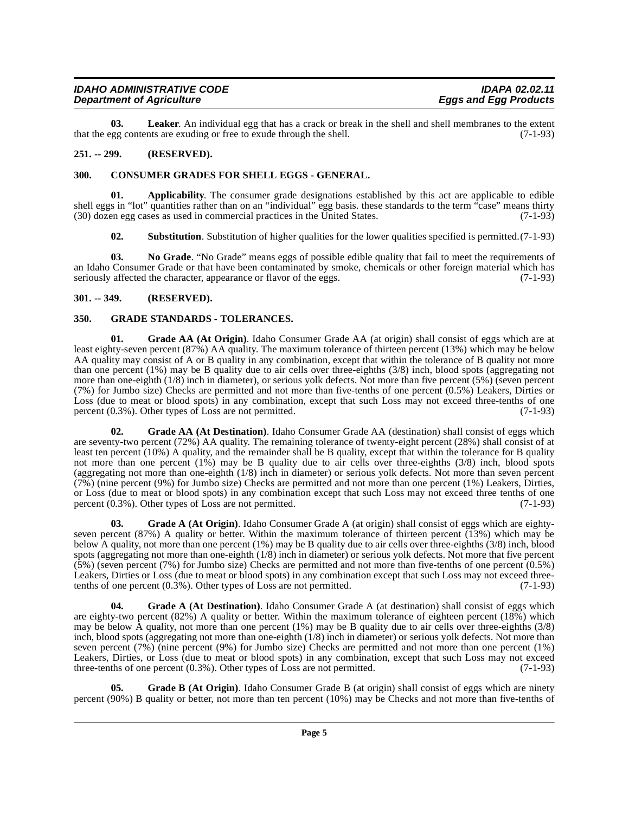<span id="page-4-12"></span>**03. Leaker**. An individual egg that has a crack or break in the shell and shell membranes to the extent that the egg contents are exuding or free to exude through the shell. (7-1-93)

#### <span id="page-4-0"></span>**251. -- 299. (RESERVED).**

#### <span id="page-4-5"></span><span id="page-4-1"></span>**300. CONSUMER GRADES FOR SHELL EGGS - GENERAL.**

**01. Applicability**. The consumer grade designations established by this act are applicable to edible shell eggs in "lot" quantities rather than on an "individual" egg basis. these standards to the term "case" means thirty (30) dozen egg cases as used in commercial practices in the United States. (7-1-93)

<span id="page-4-14"></span><span id="page-4-13"></span><span id="page-4-4"></span>**02. Substitution**. Substitution of higher qualities for the lower qualities specified is permitted.(7-1-93)

**03. No Grade**. "No Grade" means eggs of possible edible quality that fail to meet the requirements of an Idaho Consumer Grade or that have been contaminated by smoke, chemicals or other foreign material which has seriously affected the character, appearance or flavor of the eggs.  $(7-1-93)$ 

#### <span id="page-4-2"></span>**301. -- 349. (RESERVED).**

#### <span id="page-4-11"></span><span id="page-4-3"></span>**350. GRADE STANDARDS - TOLERANCES.**

<span id="page-4-9"></span>**01. Grade AA (At Origin)**. Idaho Consumer Grade AA (at origin) shall consist of eggs which are at least eighty-seven percent (87%) AA quality. The maximum tolerance of thirteen percent (13%) which may be below AA quality may consist of A or B quality in any combination, except that within the tolerance of B quality not more than one percent (1%) may be B quality due to air cells over three-eighths (3/8) inch, blood spots (aggregating not more than one-eighth (1/8) inch in diameter), or serious yolk defects. Not more than five percent (5%) (seven percent (7%) for Jumbo size) Checks are permitted and not more than five-tenths of one percent (0.5%) Leakers, Dirties or Loss (due to meat or blood spots) in any combination, except that such Loss may not exceed three-tenths of one percent (0.3%). Other types of Loss are not permitted. (7-1-93)

<span id="page-4-8"></span>Grade AA (At Destination). Idaho Consumer Grade AA (destination) shall consist of eggs which are seventy-two percent (72%) AA quality. The remaining tolerance of twenty-eight percent (28%) shall consist of at least ten percent (10%) A quality, and the remainder shall be B quality, except that within the tolerance for B quality not more than one percent (1%) may be B quality due to air cells over three-eighths (3/8) inch, blood spots (aggregating not more than one-eighth (1/8) inch in diameter) or serious yolk defects. Not more than seven percent (7%) (nine percent (9%) for Jumbo size) Checks are permitted and not more than one percent (1%) Leakers, Dirties, or Loss (due to meat or blood spots) in any combination except that such Loss may not exceed three tenths of one percent (0.3%). Other types of Loss are not permitted. (7-1-93)

<span id="page-4-7"></span>**03. Grade A (At Origin)**. Idaho Consumer Grade A (at origin) shall consist of eggs which are eightyseven percent (87%) A quality or better. Within the maximum tolerance of thirteen percent  $(13%)$  which may be below A quality, not more than one percent (1%) may be B quality due to air cells over three-eighths (3/8) inch, blood spots (aggregating not more than one-eighth (1/8) inch in diameter) or serious yolk defects. Not more that five percent (5%) (seven percent (7%) for Jumbo size) Checks are permitted and not more than five-tenths of one percent (0.5%) Leakers, Dirties or Loss (due to meat or blood spots) in any combination except that such Loss may not exceed three-<br>tenths of one percent (0.3%). Other types of Loss are not permitted. (7-1-93) tenths of one percent  $(0.3\%)$ . Other types of Loss are not permitted.

<span id="page-4-6"></span>**Grade A (At Destination)**. Idaho Consumer Grade A (at destination) shall consist of eggs which are eighty-two percent (82%) A quality or better. Within the maximum tolerance of eighteen percent (18%) which may be below A quality, not more than one percent (1%) may be B quality due to air cells over three-eighths (3/8) inch, blood spots (aggregating not more than one-eighth (1/8) inch in diameter) or serious yolk defects. Not more than seven percent (7%) (nine percent (9%) for Jumbo size) Checks are permitted and not more than one percent (1%) Leakers, Dirties, or Loss (due to meat or blood spots) in any combination, except that such Loss may not exceed three-tenths of one percent (0.3%). Other types of Loss are not permitted. (7-1-93)

<span id="page-4-10"></span>**05. Grade B (At Origin)**. Idaho Consumer Grade B (at origin) shall consist of eggs which are ninety percent (90%) B quality or better, not more than ten percent (10%) may be Checks and not more than five-tenths of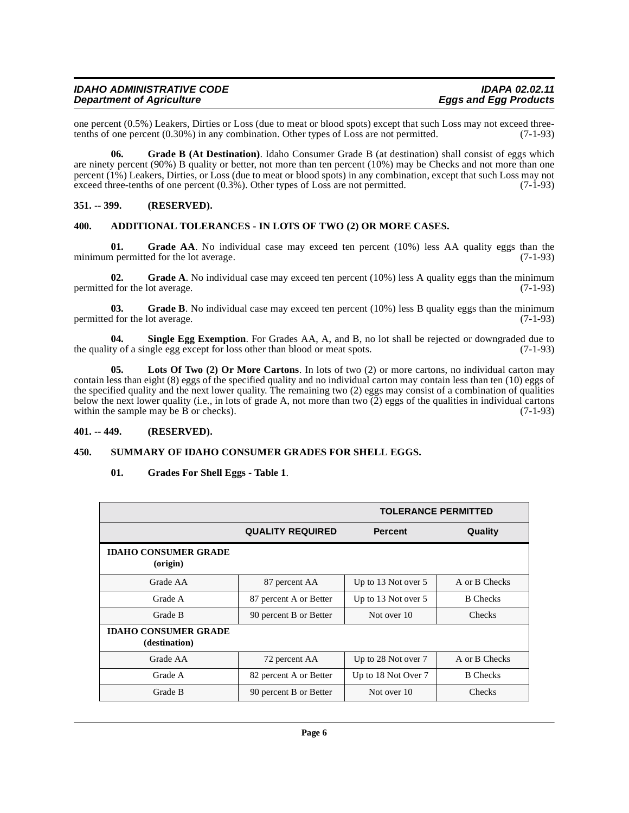| <b>IDAHO ADMINISTRATIVE CODE</b> | <b>IDAPA 02.02.11</b>        |
|----------------------------------|------------------------------|
| <b>Department of Agriculture</b> | <b>Eggs and Egg Products</b> |
|                                  |                              |

one percent  $(0.5\%)$  Leakers, Dirties or Loss (due to meat or blood spots) except that such Loss may not exceed three-<br>tenths of one percent  $(0.30\%)$  in any combination. Other types of Loss are not permitted.  $(7-1-93)$ tenths of one percent  $(0.30\%)$  in any combination. Other types of Loss are not permitted.

<span id="page-5-8"></span>**06. Grade B (At Destination)**. Idaho Consumer Grade B (at destination) shall consist of eggs which are ninety percent (90%) B quality or better, not more than ten percent (10%) may be Checks and not more than one percent (1%) Leakers, Dirties, or Loss (due to meat or blood spots) in any combination, except that such Loss may not exceed three-tenths of one percent (0.3%). Other types of Loss are not permitted. (7-1-93) exceed three-tenths of one percent  $(0.3\%)$ . Other types of Loss are not permitted.

#### <span id="page-5-0"></span>**351. -- 399. (RESERVED).**

#### <span id="page-5-4"></span><span id="page-5-1"></span>**400. ADDITIONAL TOLERANCES - IN LOTS OF TWO (2) OR MORE CASES.**

<span id="page-5-6"></span>**01. Grade AA**. No individual case may exceed ten percent (10%) less AA quality eggs than the minimum permitted for the lot average. (7-1-93)

<span id="page-5-5"></span>**02.** Grade A. No individual case may exceed ten percent (10%) less A quality eggs than the minimum d for the lot average. (7-1-93) permitted for the lot average.

<span id="page-5-7"></span>**03.** Grade B. No individual case may exceed ten percent (10%) less B quality eggs than the minimum permitted for the lot average. (7-1-93)

<span id="page-5-11"></span>**04.** Single Egg Exemption. For Grades AA, A, and B, no lot shall be rejected or downgraded due to ty of a single egg except for loss other than blood or meat spots. (7-1-93) the quality of a single egg except for loss other than blood or meat spots.

<span id="page-5-10"></span>**05. Lots Of Two (2) Or More Cartons**. In lots of two (2) or more cartons, no individual carton may contain less than eight (8) eggs of the specified quality and no individual carton may contain less than ten (10) eggs of the specified quality and the next lower quality. The remaining two (2) eggs may consist of a combination of qualities below the next lower quality (i.e., in lots of grade A, not more than two  $(2)$  eggs of the qualities in individual cartons within the sample may be B or checks).  $(7-1-93)$ 

#### <span id="page-5-2"></span>**401. -- 449. (RESERVED).**

#### <span id="page-5-3"></span>**450. SUMMARY OF IDAHO CONSUMER GRADES FOR SHELL EGGS.**

#### <span id="page-5-12"></span><span id="page-5-9"></span>**01. Grades For Shell Eggs - Table 1**.

|                                              |                         | <b>TOLERANCE PERMITTED</b> |                 |
|----------------------------------------------|-------------------------|----------------------------|-----------------|
|                                              | <b>QUALITY REQUIRED</b> | <b>Percent</b>             | Quality         |
| <b>IDAHO CONSUMER GRADE</b><br>(origin)      |                         |                            |                 |
| Grade AA                                     | 87 percent AA           | Up to 13 Not over 5        | A or B Checks   |
| Grade A                                      | 87 percent A or Better  | Up to 13 Not over 5        | <b>B</b> Checks |
| Grade B                                      | 90 percent B or Better  | Not over 10                | <b>Checks</b>   |
| <b>IDAHO CONSUMER GRADE</b><br>(destination) |                         |                            |                 |
| Grade AA                                     | 72 percent AA           | Up to 28 Not over 7        | A or B Checks   |
| Grade A                                      | 82 percent A or Better  | Up to 18 Not Over 7        | <b>B</b> Checks |
| Grade B                                      | 90 percent B or Better  | Not over 10                | <b>Checks</b>   |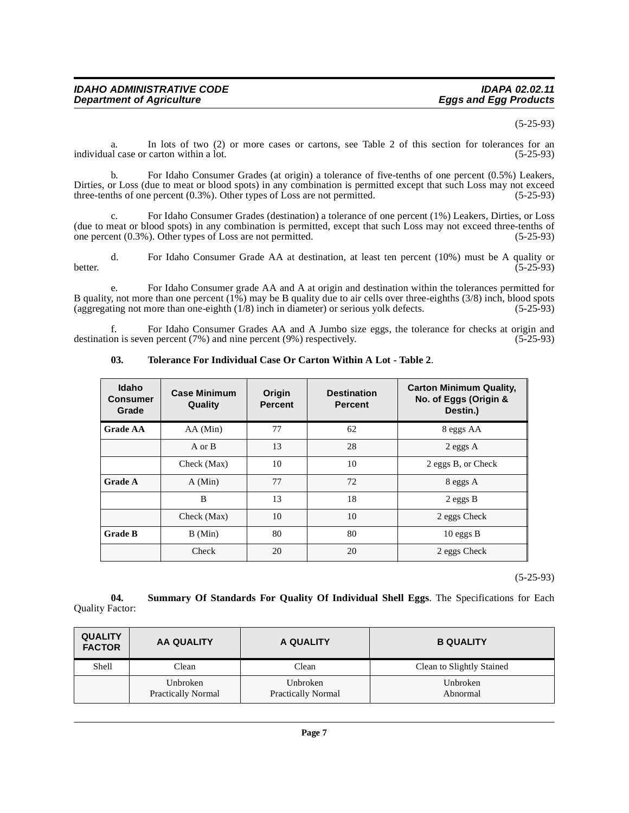#### (5-25-93)

a. In lots of two (2) or more cases or cartons, see Table 2 of this section for tolerances for an al case or carton within a lot. (5-25-93) individual case or carton within a lot.

b. For Idaho Consumer Grades (at origin) a tolerance of five-tenths of one percent (0.5%) Leakers, Dirties, or Loss (due to meat or blood spots) in any combination is permitted except that such Loss may not exceed three-tenths of one percent (0.3%). Other types of Loss are not permitted. (5-25-93) three-tenths of one percent  $(0.3\%)$ . Other types of Loss are not permitted.

c. For Idaho Consumer Grades (destination) a tolerance of one percent (1%) Leakers, Dirties, or Loss (due to meat or blood spots) in any combination is permitted, except that such Loss may not exceed three-tenths of one percent  $(0.3\%)$ . Other types of Loss are not permitted.  $(5-25-93)$ one percent  $(0.3\%)$ . Other types of Loss are not permitted.

d. For Idaho Consumer Grade AA at destination, at least ten percent (10%) must be A quality or better. (5-25-93)

e. For Idaho Consumer grade AA and A at origin and destination within the tolerances permitted for B quality, not more than one percent (1%) may be B quality due to air cells over three-eighths (3/8) inch, blood spots (aggregating not more than one-eighth (1/8) inch in diameter) or serious yolk defects. (5-25-93)

f. For Idaho Consumer Grades AA and A Jumbo size eggs, the tolerance for checks at origin and on is seven percent (7%) and nine percent (9%) respectively. (5-25-93) destination is seven percent  $(7%)$  and nine percent  $(9%)$  respectively.

| <b>Idaho</b><br><b>Consumer</b><br>Grade | <b>Case Minimum</b><br>Quality | Origin<br><b>Percent</b> | <b>Destination</b><br><b>Percent</b> | <b>Carton Minimum Quality,</b><br>No. of Eggs (Origin &<br>Destin.) |
|------------------------------------------|--------------------------------|--------------------------|--------------------------------------|---------------------------------------------------------------------|
| Grade AA                                 | AA (Min)                       | 77                       | 62                                   | 8 eggs AA                                                           |
|                                          | A or B                         | 13                       | 28                                   | $2$ eggs $A$                                                        |
|                                          | Check (Max)                    | 10                       | 10                                   | 2 eggs B, or Check                                                  |
| <b>Grade A</b>                           | A (Min)                        | 77                       | 72                                   | 8 eggs A                                                            |
|                                          | B                              | 13                       | 18                                   | $2$ eggs B                                                          |
|                                          | Check (Max)                    | 10                       | 10                                   | 2 eggs Check                                                        |
| <b>Grade B</b>                           | B (Min)                        | 80                       | 80                                   | $10$ eggs B                                                         |
|                                          | Check                          | 20                       | 20                                   | 2 eggs Check                                                        |

#### <span id="page-6-1"></span>**03. Tolerance For Individual Case Or Carton Within A Lot - Table 2**.

(5-25-93)

<span id="page-6-0"></span>**04. Summary Of Standards For Quality Of Individual Shell Eggs**. The Specifications for Each Quality Factor:

| <b>QUALITY</b><br><b>FACTOR</b> | <b>AA QUALITY</b>                     | A QUALITY                             | <b>B QUALITY</b>          |
|---------------------------------|---------------------------------------|---------------------------------------|---------------------------|
| Shell                           | Clean                                 | Clean                                 | Clean to Slightly Stained |
|                                 | Unbroken<br><b>Practically Normal</b> | Unbroken<br><b>Practically Normal</b> | Unbroken<br>Abnormal      |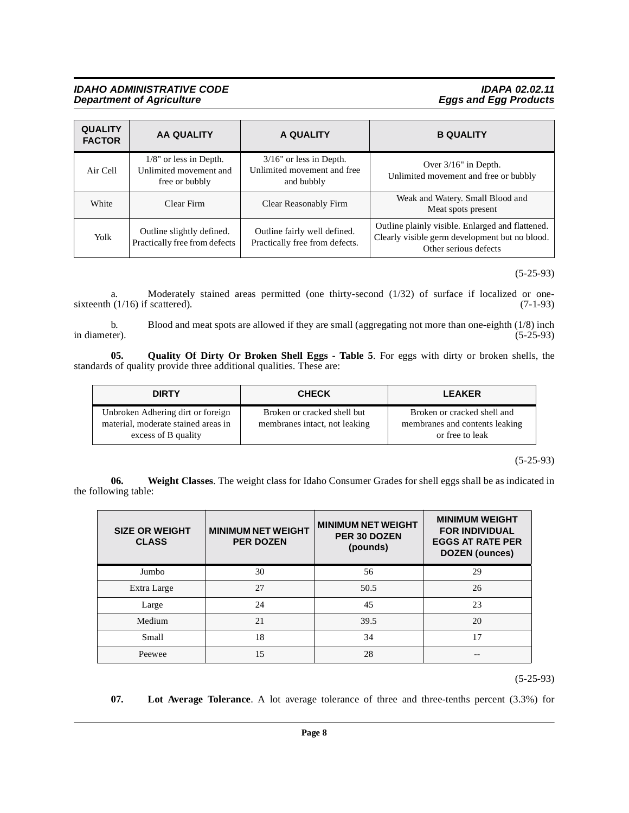#### **IDAHO ADMINISTRATIVE CODE IDAPA 02.02.11 Department of Agriculture Eggs and Egg Products**

| <b>QUALITY</b><br><b>FACTOR</b> | <b>AA QUALITY</b>                                                     | A QUALITY                                                               | <b>B QUALITY</b>                                                                                                            |
|---------------------------------|-----------------------------------------------------------------------|-------------------------------------------------------------------------|-----------------------------------------------------------------------------------------------------------------------------|
| Air Cell                        | $1/8$ " or less in Depth.<br>Unlimited movement and<br>free or bubbly | $3/16$ " or less in Depth.<br>Unlimited movement and free<br>and bubbly | Over $3/16$ " in Depth.<br>Unlimited movement and free or bubbly                                                            |
| White                           | Clear Firm                                                            | Clear Reasonably Firm                                                   | Weak and Watery. Small Blood and<br>Meat spots present                                                                      |
| Yolk                            | Outline slightly defined.<br>Practically free from defects            | Outline fairly well defined.<br>Practically free from defects.          | Outline plainly visible. Enlarged and flattened.<br>Clearly visible germ development but no blood.<br>Other serious defects |

(5-25-93)

a. Moderately stained areas permitted (one thirty-second  $(1/32)$  of surface if localized or one-<br> $(1/16)$  if scattered). (7-1-93) sixteenth  $(1/16)$  if scattered).

b. Blood and meat spots are allowed if they are small (aggregating not more than one-eighth (1/8) inch in diameter).  $(5-25-93)$ in diameter).  $(5-25-93)$ 

**05. Quality Of Dirty Or Broken Shell Eggs - Table 5**. For eggs with dirty or broken shells, the standards of quality provide three additional qualities. These are:

<span id="page-7-1"></span>

| <b>DIRTY</b>                                                                                    | <b>CHECK</b>                                                 | <b>LEAKER</b>                                                                    |
|-------------------------------------------------------------------------------------------------|--------------------------------------------------------------|----------------------------------------------------------------------------------|
| Unbroken Adhering dirt or foreign<br>material, moderate stained areas in<br>excess of B quality | Broken or cracked shell but<br>membranes intact, not leaking | Broken or cracked shell and<br>membranes and contents leaking<br>or free to leak |

(5-25-93)

**06. Weight Classes**. The weight class for Idaho Consumer Grades for shell eggs shall be as indicated in the following table:

<span id="page-7-2"></span>

| <b>SIZE OR WEIGHT</b><br><b>CLASS</b> | <b>MINIMUM NET WEIGHT</b><br><b>PER DOZEN</b> | <b>MINIMUM NET WEIGHT</b><br><b>PER 30 DOZEN</b><br>(pounds) | <b>MINIMUM WEIGHT</b><br><b>FOR INDIVIDUAL</b><br><b>EGGS AT RATE PER</b><br><b>DOZEN</b> (ounces) |
|---------------------------------------|-----------------------------------------------|--------------------------------------------------------------|----------------------------------------------------------------------------------------------------|
| Jumbo                                 | 30                                            | 56                                                           | 29                                                                                                 |
| Extra Large                           | 27                                            | 50.5                                                         | 26                                                                                                 |
| Large                                 | 24                                            | 45                                                           | 23                                                                                                 |
| Medium                                | 21                                            | 39.5                                                         | 20                                                                                                 |
| Small                                 | 18                                            | 34                                                           | 17                                                                                                 |
| Peewee                                | 15                                            | 28                                                           |                                                                                                    |

(5-25-93)

<span id="page-7-0"></span>**07. Lot Average Tolerance**. A lot average tolerance of three and three-tenths percent (3.3%) for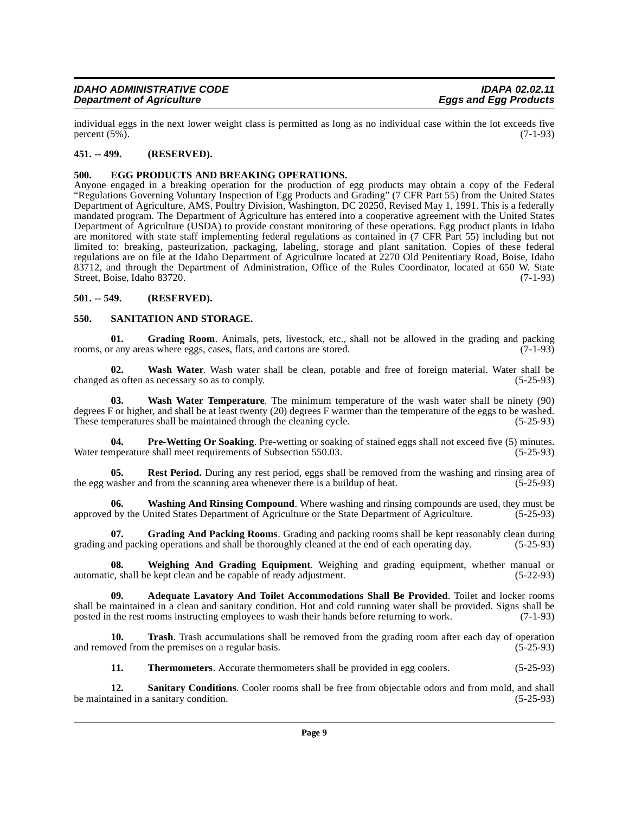| <b>IDAHO ADMINISTRATIVE CODE</b> | <b>IDAPA 02.02.11</b>        |
|----------------------------------|------------------------------|
| <b>Department of Agriculture</b> | <b>Eggs and Egg Products</b> |

individual eggs in the next lower weight class is permitted as long as no individual case within the lot exceeds five percent  $(5\%)$ .

#### <span id="page-8-0"></span>**451. -- 499. (RESERVED).**

#### <span id="page-8-5"></span><span id="page-8-1"></span>**500. EGG PRODUCTS AND BREAKING OPERATIONS.**

Anyone engaged in a breaking operation for the production of egg products may obtain a copy of the Federal "Regulations Governing Voluntary Inspection of Egg Products and Grading" (7 CFR Part 55) from the United States Department of Agriculture, AMS, Poultry Division, Washington, DC 20250, Revised May 1, 1991. This is a federally [mandated program. The Department of Agriculture has entered into a cooperative agreement with the United States](http://www.access.gpo.gov/nara/cfr/waisidx_01/7cfrv3_01.html) Department of Agriculture (USDA) to provide constant monitoring of these operations. Egg product plants in Idaho [are monitored with state staff implementing federal regulations as contained in \(7 CFR Part 55\) including but not](http://www.access.gpo.gov/nara/cfr/waisidx_01/7cfrv3_01.html) limited to: breaking, pasteurization, packaging, labeling, storage and plant sanitation. Copies of these federal [regulations are on file at the Idaho Department of Agriculture located at 2270 Old Penitentiary Road, Boise, Idaho](http://www.access.gpo.gov/nara/cfr/waisidx_01/7cfrv3_01.html) 83712, and through the Department of Administration, Office of the Rules Coordinator, located at 650 W. State Street, Boise, Idaho 83720. (7-1-93)

#### <span id="page-8-2"></span>**501. -- 549. (RESERVED).**

#### <span id="page-8-11"></span><span id="page-8-3"></span>**550. SANITATION AND STORAGE.**

<span id="page-8-7"></span>**01.** Grading Room. Animals, pets, livestock, etc., shall not be allowed in the grading and packing r any areas where eggs. cases. flats, and cartons are stored. (7-1-93) rooms, or any areas where eggs, cases, flats, and cartons are stored.

<span id="page-8-14"></span>**02.** Wash Water. Wash water shall be clean, potable and free of foreign material. Water shall be as often as necessary so as to comply. changed as often as necessary so as to comply.

<span id="page-8-15"></span>**03. Wash Water Temperature**. The minimum temperature of the wash water shall be ninety (90) degrees F or higher, and shall be at least twenty (20) degrees F warmer than the temperature of the eggs to be washed.<br>These temperatures shall be maintained through the cleaning cycle. (5-25-93) These temperatures shall be maintained through the cleaning cycle.

<span id="page-8-8"></span>**04. Pre-Wetting Or Soaking**. Pre-wetting or soaking of stained eggs shall not exceed five (5) minutes. **pre-wetting** or soaking of stained eggs shall not exceed five (5) minutes. (5-25-93) Water temperature shall meet requirements of Subsection 550.03.

<span id="page-8-9"></span>**05.** Rest Period. During any rest period, eggs shall be removed from the washing and rinsing area of vasher and from the scanning area whenever there is a buildup of heat. (5-25-93) the egg washer and from the scanning area whenever there is a buildup of heat.

<span id="page-8-16"></span>**06.** Washing And Rinsing Compound. Where washing and rinsing compounds are used, they must be l by the United States Department of Agriculture or the State Department of Agriculture. (5-25-93) approved by the United States Department of Agriculture or the State Department of Agriculture.

<span id="page-8-6"></span>**07. Grading And Packing Rooms**. Grading and packing rooms shall be kept reasonably clean during grading and packing operations and shall be thoroughly cleaned at the end of each operating day. (5-25-93)

<span id="page-8-17"></span>**08. Weighing And Grading Equipment**. Weighing and grading equipment, whether manual or c, shall be kept clean and be capable of ready adjustment. (5-22-93) automatic, shall be kept clean and be capable of ready adjustment.

<span id="page-8-4"></span>**09. Adequate Lavatory And Toilet Accommodations Shall Be Provided**. Toilet and locker rooms shall be maintained in a clean and sanitary condition. Hot and cold running water shall be provided. Signs shall be posted in the rest rooms instructing employees to wash their hands before returning to work. (7-1-93)

**10. Trash**. Trash accumulations shall be removed from the grading room after each day of operation and removed from the premises on a regular basis.  $(5-25-93)$ 

<span id="page-8-13"></span><span id="page-8-12"></span><span id="page-8-10"></span>**11. Thermometers**. Accurate thermometers shall be provided in egg coolers. (5-25-93)

**12. Sanitary Conditions**. Cooler rooms shall be free from objectable odors and from mold, and shall ained in a sanitary condition. (5-25-93) be maintained in a sanitary condition.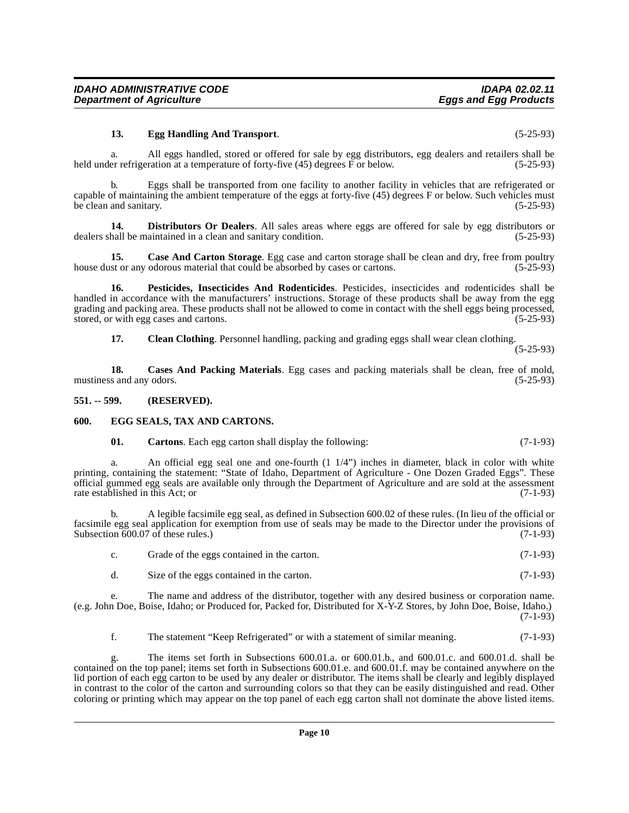**IDAHO ADMINISTRATIVE CODE IDAPA 02.02.11 Department of Agriculture** 

#### <span id="page-9-7"></span>**13. Egg Handling And Transport**. (5-25-93)

a. All eggs handled, stored or offered for sale by egg distributors, egg dealers and retailers shall be er refrigeration at a temperature of forty-five (45) degrees F or below. (5-25-93) held under refrigeration at a temperature of forty-five  $(45)$  degrees  $\overline{F}$  or below.

b. Eggs shall be transported from one facility to another facility in vehicles that are refrigerated or capable of maintaining the ambient temperature of the eggs at forty-five (45) degrees F or below. Such vehicles must be clean and sanitary. (5-25-93)

<span id="page-9-6"></span>**14. Distributors Or Dealers**. All sales areas where eggs are offered for sale by egg distributors or hall be maintained in a clean and sanitary condition. (5-25-93) dealers shall be maintained in a clean and sanitary condition.

<span id="page-9-3"></span>**15. Case And Carton Storage**. Egg case and carton storage shall be clean and dry, free from poultry house dust or any odorous material that could be absorbed by cases or cartons. (5-25-93)

**16. Pesticides, Insecticides And Rodenticides**. Pesticides, insecticides and rodenticides shall be handled in accordance with the manufacturers' instructions. Storage of these products shall be away from the egg grading and packing area. These products shall not be allowed to come in contact with the shell eggs being processed, stored, or with egg cases and cartons. (5-25-93)

<span id="page-9-9"></span><span id="page-9-5"></span><span id="page-9-4"></span>**17. Clean Clothing**. Personnel handling, packing and grading eggs shall wear clean clothing. (5-25-93)

**18.** Cases And Packing Materials. Egg cases and packing materials shall be clean, free of mold, s and any odors. (5-25-93) mustiness and any odors.

#### <span id="page-9-0"></span>**551. -- 599. (RESERVED).**

#### <span id="page-9-1"></span>**600. EGG SEALS, TAX AND CARTONS.**

#### <span id="page-9-8"></span><span id="page-9-2"></span>**01. Cartons**. Each egg carton shall display the following: (7-1-93)

a. An official egg seal one and one-fourth  $(1 1/4)$  inches in diameter, black in color with white printing, containing the statement: "State of Idaho, Department of Agriculture - One Dozen Graded Eggs". These official gummed egg seals are available only through the Department of Agriculture and are sold at the assessment rate established in this Act: or  $(7-1-93)$ rate established in this Act; or

b. A legible facsimile egg seal, as defined in Subsection 600.02 of these rules. (In lieu of the official or facsimile egg seal application for exemption from use of seals may be made to the Director under the provisions of Subsection  $\overline{600.07}$  of these rules.) (7-1-93)

|  | Grade of the eggs contained in the carton. | $(7-1-93)$ |
|--|--------------------------------------------|------------|
|--|--------------------------------------------|------------|

d. Size of the eggs contained in the carton. (7-1-93)

e. The name and address of the distributor, together with any desired business or corporation name. (e.g. John Doe, Boise, Idaho; or Produced for, Packed for, Distributed for X-Y-Z Stores, by John Doe, Boise, Idaho.) (7-1-93)

f. The statement "Keep Refrigerated" or with a statement of similar meaning. (7-1-93)

g. The items set forth in Subsections 600.01.a. or 600.01.b., and 600.01.c. and 600.01.d. shall be contained on the top panel; items set forth in Subsections 600.01.e. and 600.01.f. may be contained anywhere on the lid portion of each egg carton to be used by any dealer or distributor. The items shall be clearly and legibly displayed in contrast to the color of the carton and surrounding colors so that they can be easily distinguished and read. Other coloring or printing which may appear on the top panel of each egg carton shall not dominate the above listed items.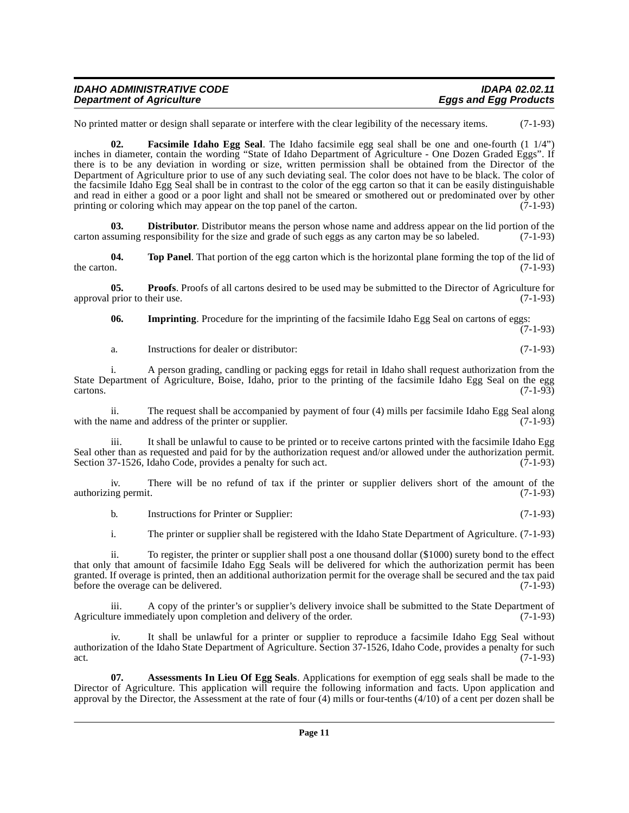| <b>IDAHO ADMINISTRATIVE CODE</b> | <b>IDAPA 02.02.11</b>        |
|----------------------------------|------------------------------|
| <b>Department of Agriculture</b> | <b>Eggs and Egg Products</b> |

No printed matter or design shall separate or interfere with the clear legibility of the necessary items. (7-1-93)

<span id="page-10-2"></span>**02. Facsimile Idaho Egg Seal**. The Idaho facsimile egg seal shall be one and one-fourth (1 1/4") inches in diameter, contain the wording "State of Idaho Department of Agriculture - One Dozen Graded Eggs". If there is to be any deviation in wording or size, written permission shall be obtained from the Director of the Department of Agriculture prior to use of any such deviating seal. The color does not have to be black. The color of the facsimile Idaho Egg Seal shall be in contrast to the color of the egg carton so that it can be easily distinguishable and read in either a good or a poor light and shall not be smeared or smothered out or predominated over by other printing or coloring which may appear on the top panel of the carton. (7-1-93) printing or coloring which may appear on the top panel of the carton.

<span id="page-10-1"></span>**03. Distributor**. Distributor means the person whose name and address appear on the lid portion of the signify suming responsibility for the size and grade of such eggs as any carton may be so labeled. (7-1-93) carton assuming responsibility for the size and grade of such eggs as any carton may be so labeled.

<span id="page-10-5"></span>**04. Top Panel**. That portion of the egg carton which is the horizontal plane forming the top of the lid of the carton.  $(7-1-93)$ 

**05. Proofs**. Proofs of all cartons desired to be used may be submitted to the Director of Agriculture for prior to their use. (7-1-93) approval prior to their use.

<span id="page-10-4"></span><span id="page-10-3"></span>**06. Imprinting**. Procedure for the imprinting of the facsimile Idaho Egg Seal on cartons of eggs:

(7-1-93)

a. Instructions for dealer or distributor: (7-1-93)

i. A person grading, candling or packing eggs for retail in Idaho shall request authorization from the State Department of Agriculture, Boise, Idaho, prior to the printing of the facsimile Idaho Egg Seal on the egg cartons. (7-1-93)  $\epsilon$  (7-1-93)

ii. The request shall be accompanied by payment of four (4) mills per facsimile Idaho Egg Seal along with the name and address of the printer or supplier. (7-1-93)

iii. It shall be unlawful to cause to be printed or to receive cartons printed with the facsimile Idaho Egg Seal other than as requested and paid for by the authorization request and/or allowed under the authorization permit. Section 37-1526, Idaho Code, provides a penalty for such act. (7-1-93)

iv. There will be no refund of tax if the printer or supplier delivers short of the amount of the authorizing permit. (7-1-93)

b. Instructions for Printer or Supplier: (7-1-93)

i. The printer or supplier shall be registered with the Idaho State Department of Agriculture. (7-1-93)

ii. To register, the printer or supplier shall post a one thousand dollar (\$1000) surety bond to the effect that only that amount of facsimile Idaho Egg Seals will be delivered for which the authorization permit has been granted. If overage is printed, then an additional authorization permit for the overage shall be secured and the tax paid<br>before the overage can be delivered. (7-1-93) before the overage can be delivered.

A copy of the printer's or supplier's delivery invoice shall be submitted to the State Department of Agriculture immediately upon completion and delivery of the order. (7-1-93)

iv. It shall be unlawful for a printer or supplier to reproduce a facsimile Idaho Egg Seal without authorization of the Idaho State Department of Agriculture. Section 37-1526, Idaho Code, provides a penalty for such act.  $(7-1-93)$ 

<span id="page-10-0"></span>**07. Assessments In Lieu Of Egg Seals**. Applications for exemption of egg seals shall be made to the Director of Agriculture. This application will require the following information and facts. Upon application and approval by the Director, the Assessment at the rate of four (4) mills or four-tenths (4/10) of a cent per dozen shall be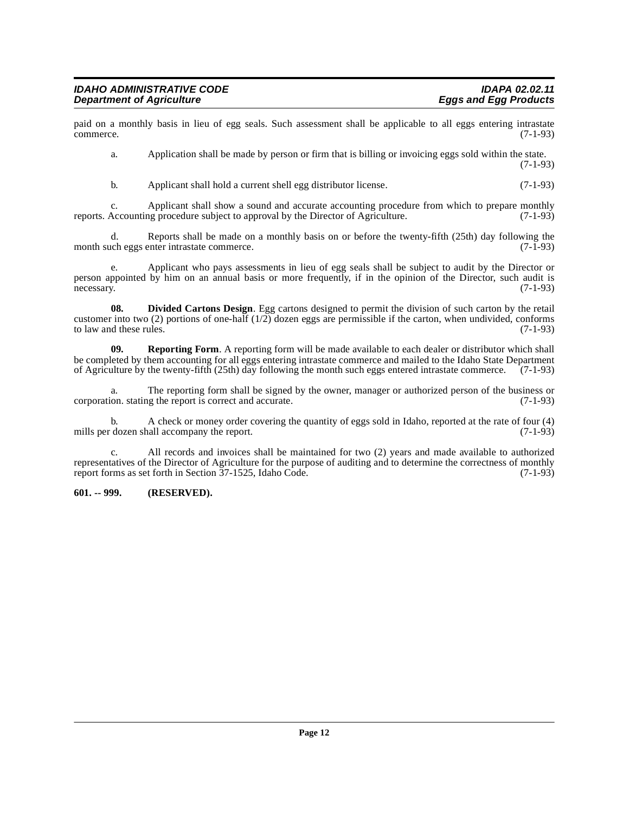paid on a monthly basis in lieu of egg seals. Such assessment shall be applicable to all eggs entering intrastate commerce. (7-1-93) commerce. (7-1-93)

a. Application shall be made by person or firm that is billing or invoicing eggs sold within the state. (7-1-93)

b. Applicant shall hold a current shell egg distributor license. (7-1-93)

c. Applicant shall show a sound and accurate accounting procedure from which to prepare monthly reports. Accounting procedure subject to approval by the Director of Agriculture. (7-1-93)

d. Reports shall be made on a monthly basis on or before the twenty-fifth (25th) day following the chenggs enter intrastate commerce. (7-1-93) month such eggs enter intrastate commerce.

e. Applicant who pays assessments in lieu of egg seals shall be subject to audit by the Director or person appointed by him on an annual basis or more frequently, if in the opinion of the Director, such audit is necessary.  $(7-1-93)$ necessary. (7-1-93)

<span id="page-11-1"></span>**08. Divided Cartons Design**. Egg cartons designed to permit the division of such carton by the retail customer into two (2) portions of one-half  $(1/2)$  dozen eggs are permissible if the carton, when undivided, conforms to law and these rules. (7-1-93) to law and these rules.

<span id="page-11-2"></span>**09. Reporting Form**. A reporting form will be made available to each dealer or distributor which shall be completed by them accounting for all eggs entering intrastate commerce and mailed to the Idaho State Department of Agriculture by the twenty-fifth (25th) day following the month such eggs entered intrastate commerce. (7-1-93)

a. The reporting form shall be signed by the owner, manager or authorized person of the business or ion. stating the report is correct and accurate. (7-1-93) corporation. stating the report is correct and accurate.

b. A check or money order covering the quantity of eggs sold in Idaho, reported at the rate of four (4) clozen shall accompany the report. (7-1-93) mills per dozen shall accompany the report.

c. All records and invoices shall be maintained for two (2) years and made available to authorized representatives of the Director of Agriculture for the purpose of auditing and to determine the correctness of monthly report forms as set forth in Section 37-1525, Idaho Code. (7-1-93) report forms as set forth in Section 37-1525, Idaho Code.

#### <span id="page-11-0"></span>**601. -- 999. (RESERVED).**